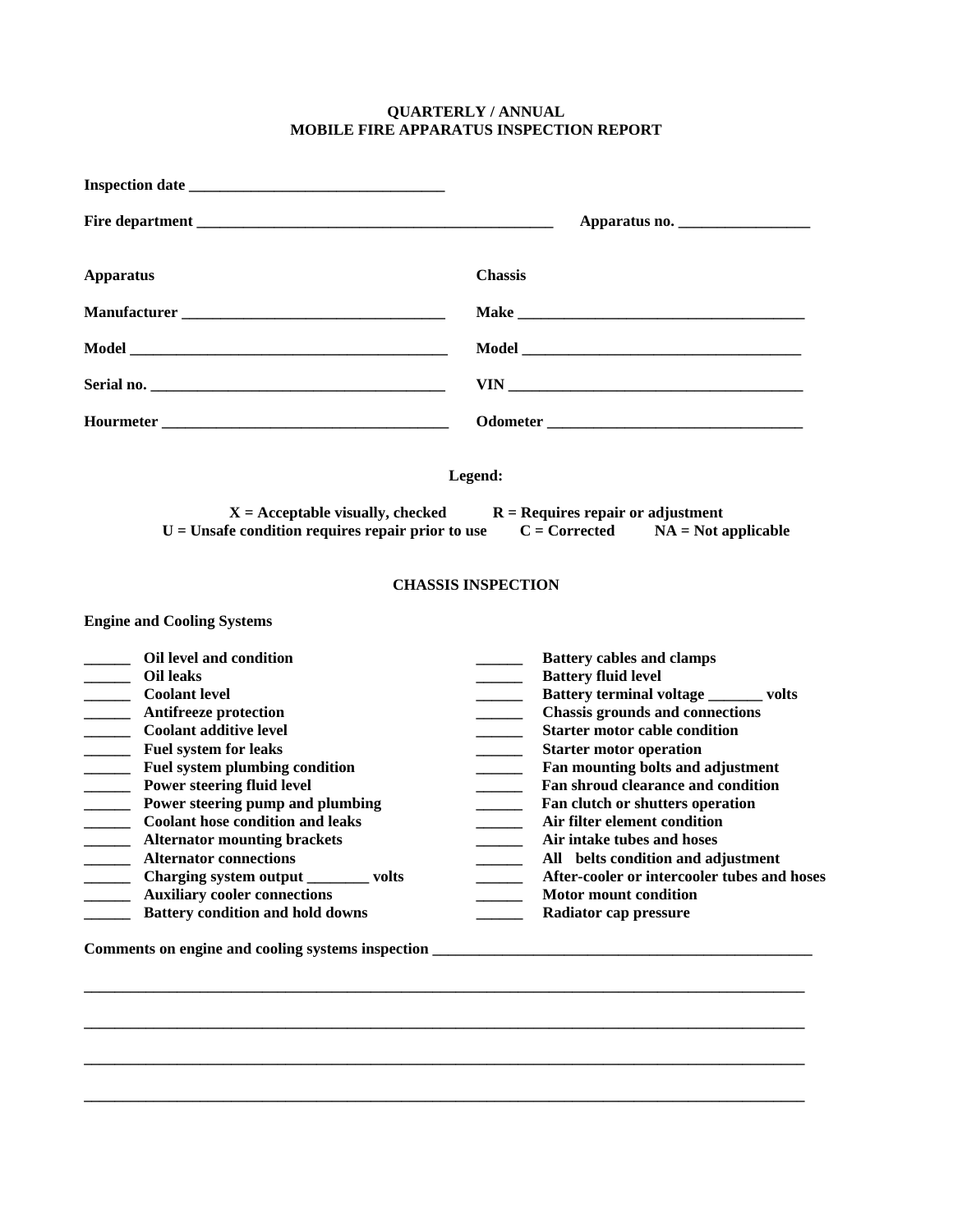## **QUARTERLY / ANNUAL MOBILE FIRE APPARATUS INSPECTION REPORT**

| Apparatus no. $\frac{1}{\sqrt{1-\frac{1}{2}}}\left\{ \frac{1}{2}, \frac{1}{2}, \frac{1}{2}, \frac{1}{2}\right\}$                                                                                                                                                                                                                                                                                                                                                                                                                                                                                                                                                                                                                                                                                                                                           |  |  |                                                                                                                      |
|------------------------------------------------------------------------------------------------------------------------------------------------------------------------------------------------------------------------------------------------------------------------------------------------------------------------------------------------------------------------------------------------------------------------------------------------------------------------------------------------------------------------------------------------------------------------------------------------------------------------------------------------------------------------------------------------------------------------------------------------------------------------------------------------------------------------------------------------------------|--|--|----------------------------------------------------------------------------------------------------------------------|
| <b>Chassis</b>                                                                                                                                                                                                                                                                                                                                                                                                                                                                                                                                                                                                                                                                                                                                                                                                                                             |  |  |                                                                                                                      |
|                                                                                                                                                                                                                                                                                                                                                                                                                                                                                                                                                                                                                                                                                                                                                                                                                                                            |  |  |                                                                                                                      |
|                                                                                                                                                                                                                                                                                                                                                                                                                                                                                                                                                                                                                                                                                                                                                                                                                                                            |  |  |                                                                                                                      |
|                                                                                                                                                                                                                                                                                                                                                                                                                                                                                                                                                                                                                                                                                                                                                                                                                                                            |  |  | Legend:<br>$X =$ Acceptable visually, checked $R =$ Requires repair or adjustment                                    |
|                                                                                                                                                                                                                                                                                                                                                                                                                                                                                                                                                                                                                                                                                                                                                                                                                                                            |  |  | $U =$ Unsafe condition requires repair prior to use $C =$ Corrected NA = Not applicable<br><b>CHASSIS INSPECTION</b> |
|                                                                                                                                                                                                                                                                                                                                                                                                                                                                                                                                                                                                                                                                                                                                                                                                                                                            |  |  |                                                                                                                      |
| <b>Battery cables and clamps</b><br><b>Battery fluid level</b><br>Battery terminal voltage _______ volts<br><b>Contract Contract</b><br><b>Chassis grounds and connections</b><br><b>Starter motor cable condition</b><br>$\frac{1}{2}$<br><b>Starter motor operation</b><br>$\overline{\phantom{a}}$<br>Fan mounting bolts and adjustment<br>$\overline{\phantom{a}}$<br>Fan shroud clearance and condition<br>$\overline{\phantom{a}}$<br>Fan clutch or shutters operation<br>$\overline{\phantom{a}}$<br>Air filter element condition<br>$\overline{\phantom{a}}$<br>Air intake tubes and hoses<br>$\overline{\phantom{a}}$<br>All belts condition and adjustment<br>After-cooler or intercooler tubes and hoses<br>Motor mount condition<br>Radiator cap pressure<br>Comments on engine and cooling systems inspection _______________________________ |  |  |                                                                                                                      |
|                                                                                                                                                                                                                                                                                                                                                                                                                                                                                                                                                                                                                                                                                                                                                                                                                                                            |  |  |                                                                                                                      |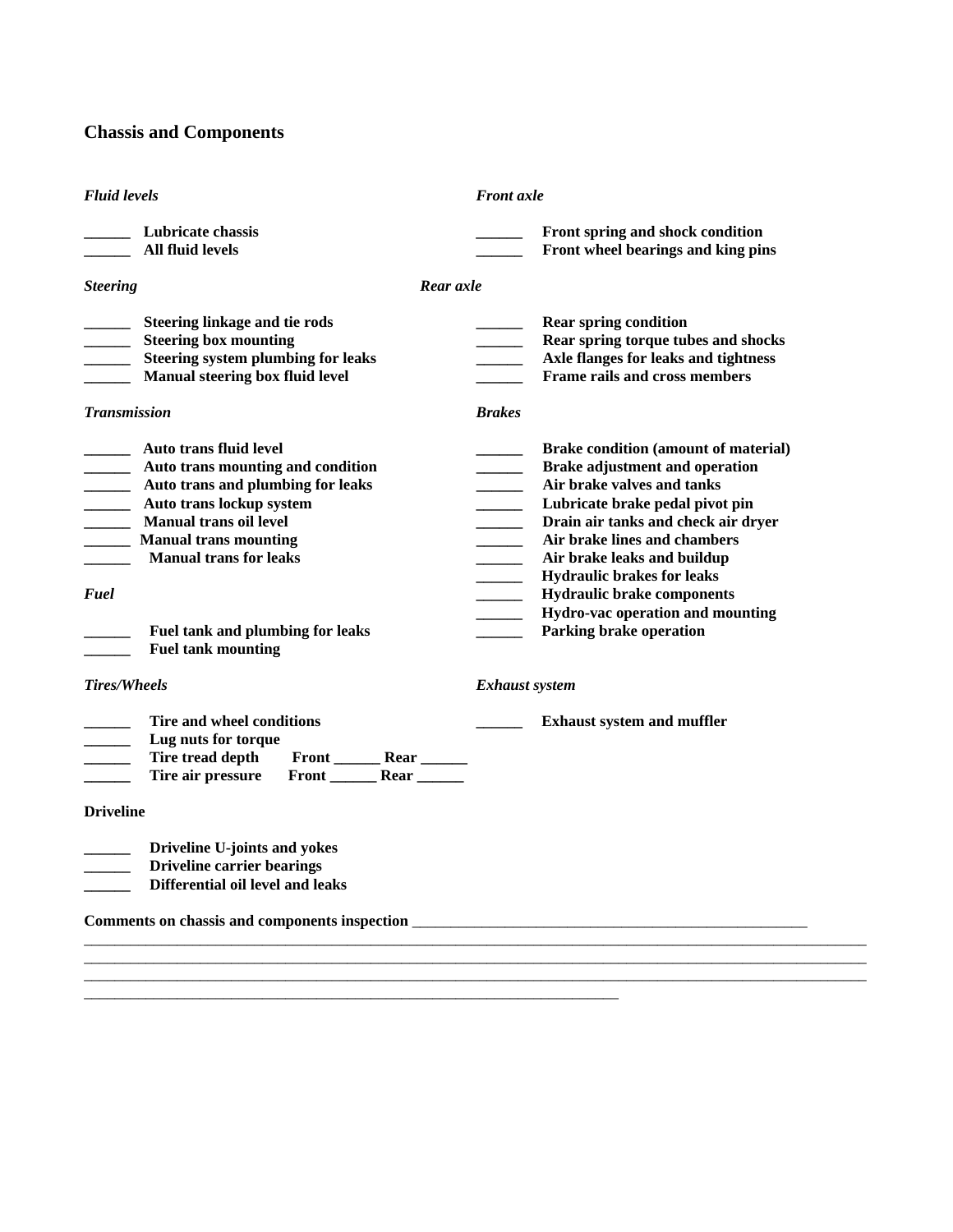# **Chassis and Components**

| <b>Fluid levels</b>                                                                                                                                                                                                                                                                                                                                                         | <b>Front</b> axle                                                                                                                                                                                                                                                                                                                                                                                                                          |  |  |  |  |
|-----------------------------------------------------------------------------------------------------------------------------------------------------------------------------------------------------------------------------------------------------------------------------------------------------------------------------------------------------------------------------|--------------------------------------------------------------------------------------------------------------------------------------------------------------------------------------------------------------------------------------------------------------------------------------------------------------------------------------------------------------------------------------------------------------------------------------------|--|--|--|--|
| _______ Lubricate chassis<br><b>All fluid levels</b>                                                                                                                                                                                                                                                                                                                        | Front spring and shock condition<br>Front wheel bearings and king pins                                                                                                                                                                                                                                                                                                                                                                     |  |  |  |  |
| <b>Steering</b><br>Rear axle                                                                                                                                                                                                                                                                                                                                                |                                                                                                                                                                                                                                                                                                                                                                                                                                            |  |  |  |  |
| <b>Steering linkage and tie rods</b><br>$\overline{\phantom{a}}$<br><b>Steering box mounting</b><br>$\mathcal{L}$ and $\mathcal{L}$<br><b>Steering system plumbing for leaks</b><br><b>Manual steering box fluid level</b><br><b>Transmission</b>                                                                                                                           | <b>Rear spring condition</b><br>Rear spring torque tubes and shocks<br>$\overline{\phantom{a}}$<br>Axle flanges for leaks and tightness<br>Frame rails and cross members<br><b>Brakes</b>                                                                                                                                                                                                                                                  |  |  |  |  |
| ____ Auto trans fluid level<br>Auto trans mounting and condition<br>$\overline{\phantom{a}}$<br><b>EXALLER 15 Auto trans and plumbing for leaks</b><br><b>Example 21 Auto translockup system</b><br><b>Manual trans oil level</b><br><b>Manual trans mounting</b><br><b>Manual trans for leaks</b><br>Fuel<br>Fuel tank and plumbing for leaks<br><b>Fuel tank mounting</b> | <b>Brake condition (amount of material)</b><br><b>Brake adjustment and operation</b><br>Air brake valves and tanks<br>Lubricate brake pedal pivot pin<br>Drain air tanks and check air dryer<br>Air brake lines and chambers<br>$\sim$<br>Air brake leaks and buildup<br><b>Hydraulic brakes for leaks</b><br><b>Hydraulic brake components</b><br>Hydro-vac operation and mounting<br>$\overline{\phantom{a}}$<br>Parking brake operation |  |  |  |  |
| Tires/Wheels                                                                                                                                                                                                                                                                                                                                                                | <b>Exhaust system</b>                                                                                                                                                                                                                                                                                                                                                                                                                      |  |  |  |  |
| Tire and wheel conditions<br>Lug nuts for torque<br>$\overline{\phantom{a}}$<br>Tire tread depth<br>Front _________ Rear _______<br>Front Rear<br>Tire air pressure                                                                                                                                                                                                         | <b>Exhaust system and muffler</b>                                                                                                                                                                                                                                                                                                                                                                                                          |  |  |  |  |
| <b>Driveline</b>                                                                                                                                                                                                                                                                                                                                                            |                                                                                                                                                                                                                                                                                                                                                                                                                                            |  |  |  |  |
| Driveline U-joints and yokes<br>$\overline{\phantom{a}}$<br><b>Driveline carrier bearings</b><br>Differential oil level and leaks                                                                                                                                                                                                                                           |                                                                                                                                                                                                                                                                                                                                                                                                                                            |  |  |  |  |
| Comments on chassis and components inspection ___________________________________                                                                                                                                                                                                                                                                                           |                                                                                                                                                                                                                                                                                                                                                                                                                                            |  |  |  |  |
|                                                                                                                                                                                                                                                                                                                                                                             |                                                                                                                                                                                                                                                                                                                                                                                                                                            |  |  |  |  |

\_\_\_\_\_\_\_\_\_\_\_\_\_\_\_\_\_\_\_\_\_\_\_\_\_\_\_\_\_\_\_\_\_\_\_\_\_\_\_\_\_\_\_\_\_\_\_\_\_\_\_\_\_\_\_\_\_\_\_\_\_\_\_\_\_\_\_\_\_\_\_\_\_\_\_\_\_\_\_\_\_\_\_\_\_\_\_\_\_\_\_\_\_\_\_\_\_\_\_\_\_ \_\_\_\_\_\_\_\_\_\_\_\_\_\_\_\_\_\_\_\_\_\_\_\_\_\_\_\_\_\_\_\_\_\_\_\_\_\_\_\_\_\_\_\_\_\_\_\_\_\_\_\_\_\_\_\_\_\_\_\_\_\_\_\_\_\_\_\_\_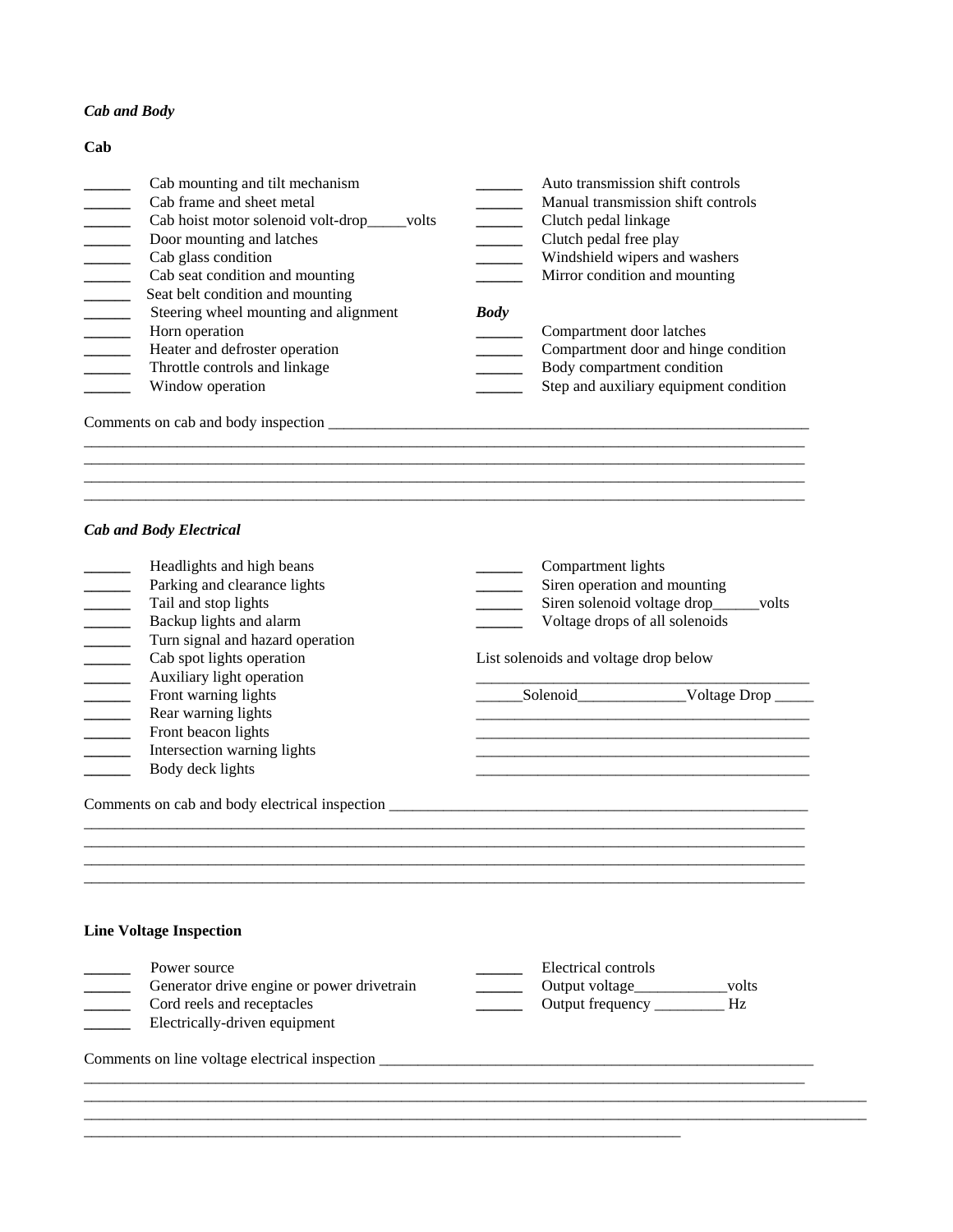#### *Cab and Body*

## **Cab** Cab mounting and tilt mechanism <br>
Cab frame and sheet metal **The Capacity of the Capacity Cab** Manual transmission shift controls<br>
Manual transmission shift controls **\_\_\_\_\_\_** Cab frame and sheet metal **\_\_\_\_\_\_** Manual transmission shift controls **\_\_\_\_\_\_** Cab hoist motor solenoid volt-drop\_\_\_\_\_volts **\_\_\_\_\_\_** Clutch pedal linkage **\_\_\_\_\_\_** Door mounting and latches **\_\_\_\_\_\_** Clutch pedal free play **\_\_\_\_\_\_** Cab glass condition **\_\_\_\_\_\_** Windshield wipers and washers **\_\_\_\_\_\_** Cab seat condition and mounting **\_\_\_\_\_\_** Mirror condition and mounting **EXECUTE:** Seat belt condition and mounting **EXECUTE:** Steering wheel mounting and alignment *Body* **\_\_\_\_\_\_** Horn operation **\_\_\_\_\_\_** Compartment door latches Heater and defroster operation **Lackson Lackson Lackson Compartment door and hinge condition** Throttle controls and linkage **a**<br> **Example 3** Body compartment condition<br> **Example 3** Step and auxiliary equipment condition<br> **Example 3** Step and auxiliary equipment **EXECUTE:** Step and auxiliary equipment condition

\_\_\_\_\_\_\_\_\_\_\_\_\_\_\_\_\_\_\_\_\_\_\_\_\_\_\_\_\_\_\_\_\_\_\_\_\_\_\_\_\_\_\_\_\_\_\_\_\_\_\_\_\_\_\_\_\_\_\_\_\_\_\_\_\_\_\_\_\_\_\_\_\_\_\_\_\_\_\_\_\_\_\_\_\_\_\_\_\_\_\_\_\_ \_\_\_\_\_\_\_\_\_\_\_\_\_\_\_\_\_\_\_\_\_\_\_\_\_\_\_\_\_\_\_\_\_\_\_\_\_\_\_\_\_\_\_\_\_\_\_\_\_\_\_\_\_\_\_\_\_\_\_\_\_\_\_\_\_\_\_\_\_\_\_\_\_\_\_\_\_\_\_\_\_\_\_\_\_\_\_\_\_\_\_\_\_

Comments on cab and body inspection \_\_\_\_\_\_\_\_\_\_\_\_\_\_\_\_\_\_\_\_\_\_\_\_\_\_\_\_\_\_\_\_\_\_\_\_\_\_\_\_\_\_\_\_\_\_\_\_\_\_\_\_\_\_\_\_\_\_\_\_\_\_

#### *Cab and Body Electrical*

| Headlights and high beans<br>Parking and clearance lights<br>Tail and stop lights<br>Backup lights and alarm<br>$\overline{\phantom{a}}$                                                                                       | Compartment lights<br>Siren operation and mounting<br>Siren solenoid voltage drop_____volts<br>Voltage drops of all solenoids |  |  |
|--------------------------------------------------------------------------------------------------------------------------------------------------------------------------------------------------------------------------------|-------------------------------------------------------------------------------------------------------------------------------|--|--|
| Turn signal and hazard operation<br>Cab spot lights operation<br>Auxiliary light operation<br>$\mathbb{R}^n$                                                                                                                   | List solenoids and voltage drop below                                                                                         |  |  |
| Front warning lights<br>Rear warning lights<br>Front beacon lights<br>$\mathcal{L}(\mathcal{L})$<br>Intersection warning lights<br>Body deck lights                                                                            | and the state of the state of the state of the state of the state of the state of the state of the                            |  |  |
| Comments on cab and body electrical inspection __________________________________                                                                                                                                              |                                                                                                                               |  |  |
| <b>Line Voltage Inspection</b>                                                                                                                                                                                                 |                                                                                                                               |  |  |
| Power source<br>Generator drive engine or power drivetrain<br>Cord reels and receptacles<br>Electrically-driven equipment                                                                                                      | Electrical controls<br>Output voltage_____________volts                                                                       |  |  |
| Comments on line voltage electrical inspection electron and the state of the state of the state of the state of the state of the state of the state of the state of the state of the state of the state of the state of the st |                                                                                                                               |  |  |
|                                                                                                                                                                                                                                |                                                                                                                               |  |  |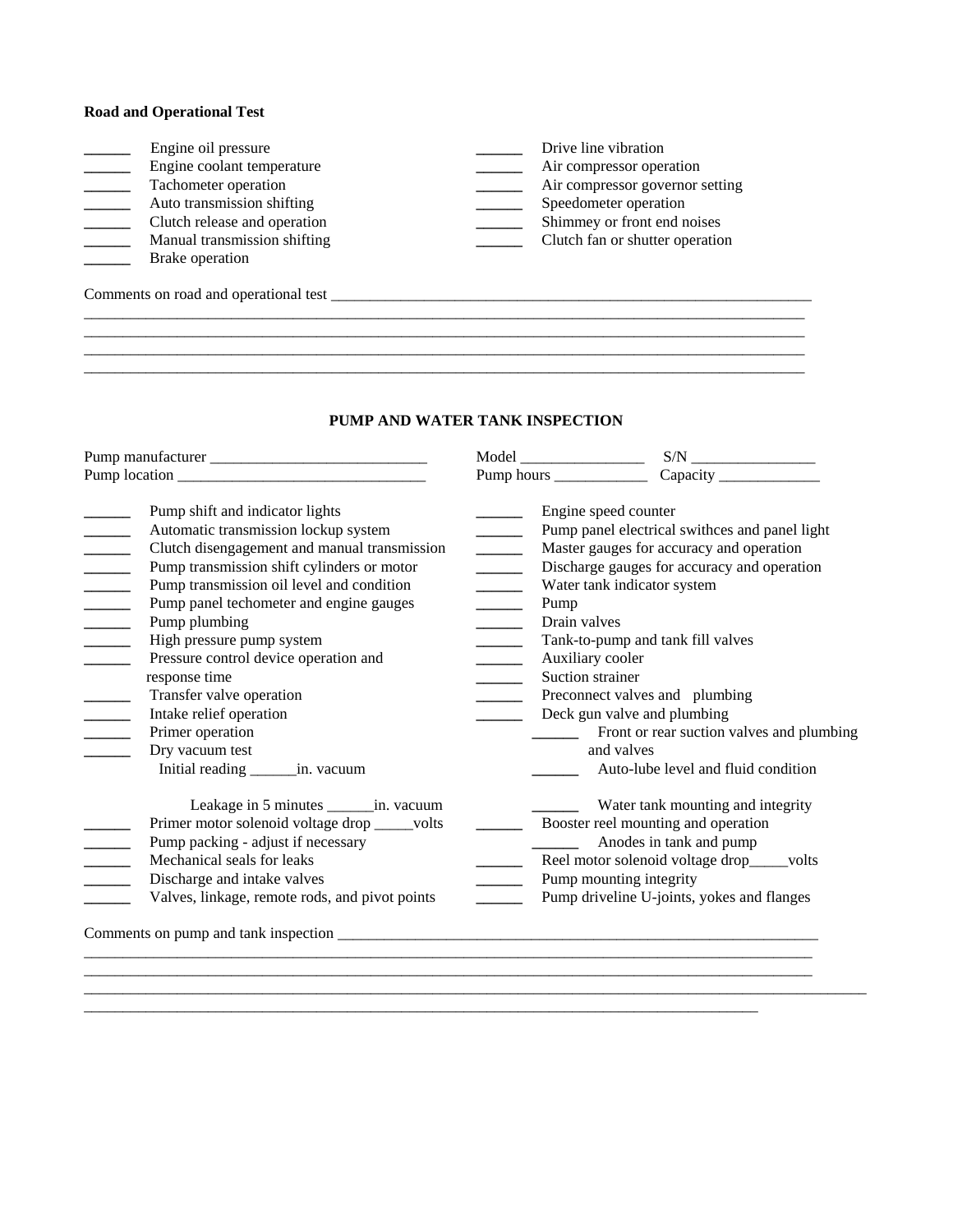### **Road and Operational Test**

| Engine oil pressure                   | Drive line vibration            |
|---------------------------------------|---------------------------------|
| Engine coolant temperature            | Air compressor operation        |
| Tachometer operation                  | Air compressor governor setting |
| Auto transmission shifting            | Speedometer operation           |
| Clutch release and operation          | Shimmey or front end noises     |
| Manual transmission shifting          | Clutch fan or shutter operation |
| Brake operation                       |                                 |
| Comments on road and operational test |                                 |
|                                       |                                 |
|                                       |                                 |
|                                       |                                 |

## **PUMP AND WATER TANK INSPECTION**

|                                                                                                                                                                                                                                                                                                                                                                                                                                                                                                                                                                                                                                                                | $\text{Model} \underline{\hspace{2cm}}$                                                                          |                                                                                                                                                                                                                                                                                                                                     |  |
|----------------------------------------------------------------------------------------------------------------------------------------------------------------------------------------------------------------------------------------------------------------------------------------------------------------------------------------------------------------------------------------------------------------------------------------------------------------------------------------------------------------------------------------------------------------------------------------------------------------------------------------------------------------|------------------------------------------------------------------------------------------------------------------|-------------------------------------------------------------------------------------------------------------------------------------------------------------------------------------------------------------------------------------------------------------------------------------------------------------------------------------|--|
|                                                                                                                                                                                                                                                                                                                                                                                                                                                                                                                                                                                                                                                                |                                                                                                                  |                                                                                                                                                                                                                                                                                                                                     |  |
| Pump shift and indicator lights<br>Automatic transmission lockup system<br>Clutch disengagement and manual transmission<br>Pump transmission shift cylinders or motor<br>$\overline{\phantom{a}}$<br>Pump transmission oil level and condition<br>$\mathcal{L}^{\text{max}}$ , where $\mathcal{L}^{\text{max}}$<br>$\frac{1}{1}$<br>Pump panel techometer and engine gauges<br>Pump plumbing<br>$\overline{\phantom{a}}$<br>High pressure pump system<br>Pressure control device operation and<br>response time<br>Transfer valve operation<br>$\sim$<br>Intake relief operation<br>Primer operation<br>Dry vacuum test<br>Initial reading ________ in. vacuum | Engine speed counter<br>$\sim$<br>$\overline{a}$<br>Pump<br>Drain valves<br>Auxiliary cooler<br>Suction strainer | Pump panel electrical swithces and panel light<br>Master gauges for accuracy and operation<br>Discharge gauges for accuracy and operation<br>Water tank indicator system<br>Tank-to-pump and tank fill valves<br>Preconnect valves and plumbing<br>Deck gun valve and plumbing<br>and valves<br>Auto-lube level and fluid condition |  |
| Leakage in 5 minutes ________ in. vacuum<br>Primer motor solenoid voltage drop _____volts<br>Pump packing - adjust if necessary<br>Mechanical seals for leaks<br>Discharge and intake valves<br>Valves, linkage, remote rods, and pivot points<br>Comments on pump and tank inspection <b>contained <i>n</i></b>                                                                                                                                                                                                                                                                                                                                               |                                                                                                                  | Water tank mounting and integrity<br>Anodes in tank and pump<br>Reel motor solenoid voltage drop____volts<br>Pump mounting integrity<br>Pump driveline U-joints, yokes and flanges                                                                                                                                                  |  |

\_\_\_\_\_\_\_\_\_\_\_\_\_\_\_\_\_\_\_\_\_\_\_\_\_\_\_\_\_\_\_\_\_\_\_\_\_\_\_\_\_\_\_\_\_\_\_\_\_\_\_\_\_\_\_\_\_\_\_\_\_\_\_\_\_\_\_\_\_\_\_\_\_\_\_\_\_\_\_\_\_\_\_\_\_\_\_\_\_\_\_\_\_\_\_\_\_\_\_\_\_

\_\_\_\_\_\_\_\_\_\_\_\_\_\_\_\_\_\_\_\_\_\_\_\_\_\_\_\_\_\_\_\_\_\_\_\_\_\_\_\_\_\_\_\_\_\_\_\_\_\_\_\_\_\_\_\_\_\_\_\_\_\_\_\_\_\_\_\_\_\_\_\_\_\_\_\_\_\_\_\_\_\_\_\_\_\_\_